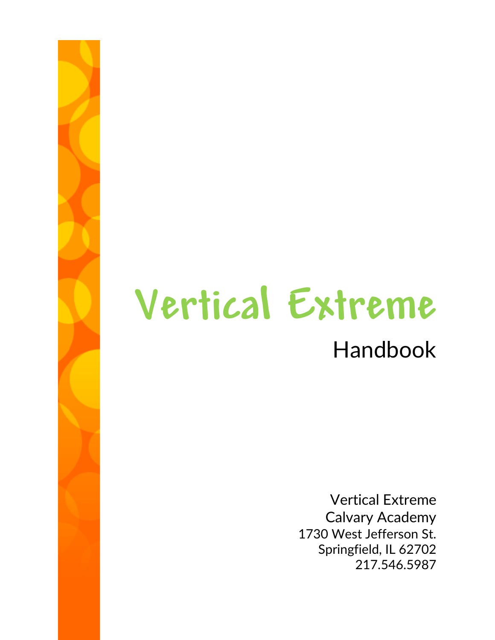# **Vertical Extreme**

# Handbook

Vertical Extreme Calvary Academy 1730 West Jefferson St. Springfield, IL 62702 217.546.5987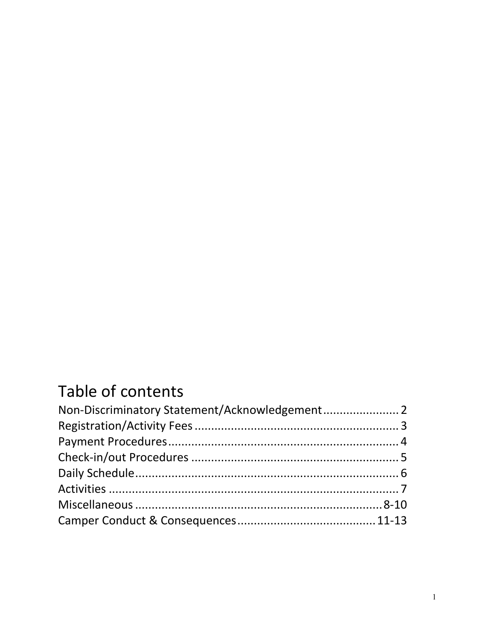# Table of contents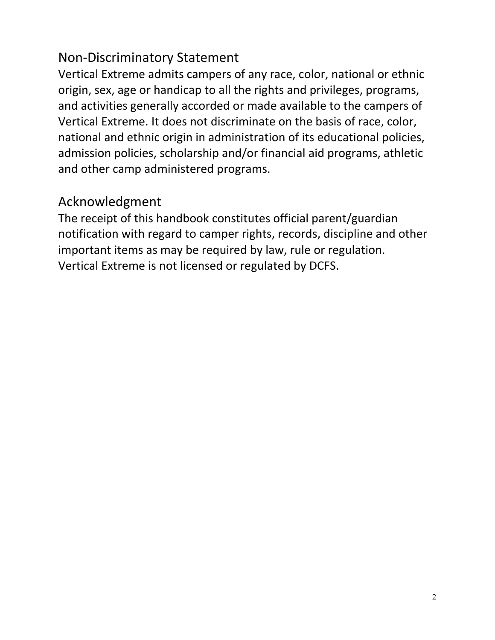#### Non-Discriminatory Statement

Vertical Extreme admits campers of any race, color, national or ethnic origin, sex, age or handicap to all the rights and privileges, programs, and activities generally accorded or made available to the campers of Vertical Extreme. It does not discriminate on the basis of race, color, national and ethnic origin in administration of its educational policies, admission policies, scholarship and/or financial aid programs, athletic and other camp administered programs.

#### Acknowledgment

The receipt of this handbook constitutes official parent/guardian notification with regard to camper rights, records, discipline and other important items as may be required by law, rule or regulation. Vertical Extreme is not licensed or regulated by DCFS.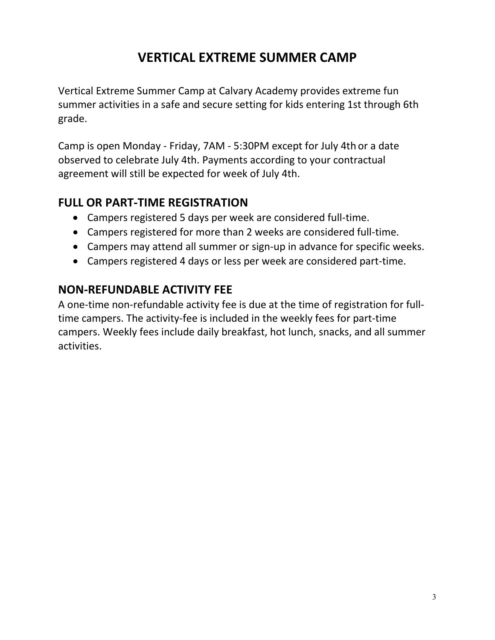# **VERTICAL EXTREME SUMMER CAMP**

Vertical Extreme Summer Camp at Calvary Academy provides extreme fun summer activities in a safe and secure setting for kids entering 1st through 6th grade.

Camp is open Monday - Friday, 7AM - 5:30PM except for July 4th or a date observed to celebrate July 4th. Payments according to your contractual agreement will still be expected for week of July 4th.

#### **FULL OR PART-TIME REGISTRATION**

- Campers registered 5 days per week are considered full-time.
- Campers registered for more than 2 weeks are considered full-time.
- Campers may attend all summer or sign-up in advance for specific weeks.
- Campers registered 4 days or less per week are considered part-time.

#### **NON-REFUNDABLE ACTIVITY FEE**

A one-time non-refundable activity fee is due at the time of registration for fulltime campers. The activity-fee is included in the weekly fees for part-time campers. Weekly fees include daily breakfast, hot lunch, snacks, and all summer activities.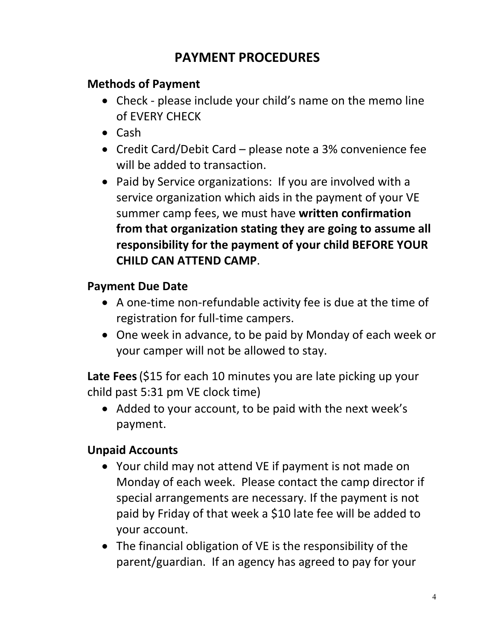# **PAYMENT PROCEDURES**

#### **Methods of Payment**

- Check please include your child's name on the memo line of EVERY CHECK
- Cash
- Credit Card/Debit Card please note a 3% convenience fee will be added to transaction.
- Paid by Service organizations: If you are involved with a service organization which aids in the payment of your VE summer camp fees, we must have **written confirmation from that organization stating they are going to assume all responsibility for the payment of your child BEFORE YOUR CHILD CAN ATTEND CAMP**.

#### **Payment Due Date**

- A one-time non-refundable activity fee is due at the time of registration for full-time campers.
- One week in advance, to be paid by Monday of each week or your camper will not be allowed to stay.

**Late Fees**(\$15 for each 10 minutes you are late picking up your child past 5:31 pm VE clock time)

• Added to your account, to be paid with the next week's payment.

#### **Unpaid Accounts**

- Your child may not attend VE if payment is not made on Monday of each week. Please contact the camp director if special arrangements are necessary. If the payment is not paid by Friday of that week a \$10 late fee will be added to your account.
- The financial obligation of VE is the responsibility of the parent/guardian. If an agency has agreed to pay for your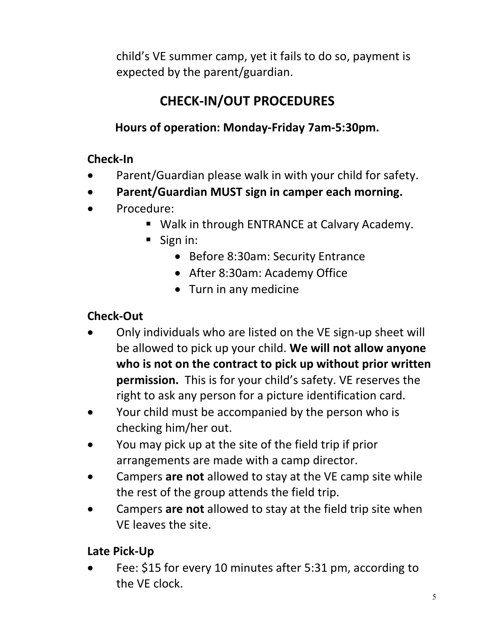child's VE summer camp, yet it fails to do so, payment is expected by the parent/guardian.

# **CHECK-IN/OUT PROCEDURES**

#### **Hours of operation: Monday-Friday 7am-5:30pm.**

#### **Check-In**

- Parent/Guardian please walk in with your child for safety.
- **Parent/Guardian MUST sign in camper each morning.**
- Procedure:
	- Walk in through ENTRANCE at Calvary Academy.
	- Sign in:
		- Before 8:30am: Security Entrance
		- After 8:30am: Academy Office
		- Turn in any medicine

#### **Check-Out**

- Only individuals who are listed on the VE sign-up sheet will be allowed to pick up your child. **We will not allow anyone who is not on the contract to pick up without prior written permission.** This is for your child's safety. VE reserves the right to ask any person for a picture identification card.
- Your child must be accompanied by the person who is checking him/her out.
- You may pick up at the site of the field trip if prior arrangements are made with a camp director.
- Campers **are not** allowed to stay at the VE camp site while the rest of the group attends the field trip.
- Campers **are not** allowed to stay at the field trip site when VE leaves the site.

#### **Late Pick-Up**

• Fee: \$15 for every 10 minutes after 5:31 pm, according to the VE clock.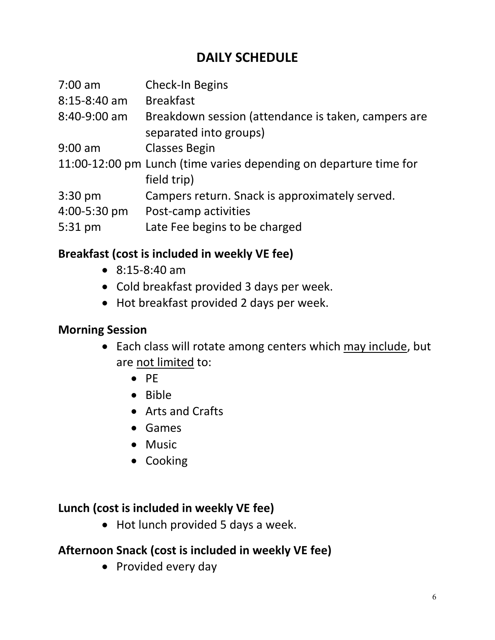# **DAILY SCHEDULE**

| $7:00$ am      | Check-In Begins                                                                  |
|----------------|----------------------------------------------------------------------------------|
| $8:15-8:40$ am | <b>Breakfast</b>                                                                 |
| 8:40-9:00 am   | Breakdown session (attendance is taken, campers are<br>separated into groups)    |
| $9:00$ am      | <b>Classes Begin</b>                                                             |
|                | 11:00-12:00 pm Lunch (time varies depending on departure time for<br>field trip) |
| $3:30$ pm      | Campers return. Snack is approximately served.                                   |
| 4:00-5:30 pm   | Post-camp activities                                                             |
| 5:31 pm        | Late Fee begins to be charged                                                    |

#### **Breakfast (cost is included in weekly VE fee)**

- 8:15-8:40 am
- Cold breakfast provided 3 days per week.
- Hot breakfast provided 2 days per week.

#### **Morning Session**

- Each class will rotate among centers which may include, but are not limited to:
	- PE
	- Bible
	- Arts and Crafts
	- Games
	- Music
	- Cooking

#### **Lunch (cost is included in weekly VE fee)**

• Hot lunch provided 5 days a week.

#### **Afternoon Snack (cost is included in weekly VE fee)**

• Provided every day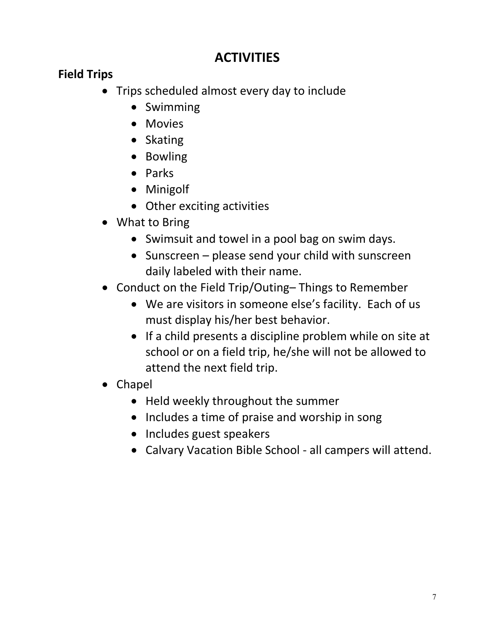# **ACTIVITIES**

#### **Field Trips**

- Trips scheduled almost every day to include
	- Swimming
	- Movies
	- Skating
	- Bowling
	- Parks
	- Minigolf
	- Other exciting activities
- What to Bring
	- Swimsuit and towel in a pool bag on swim days.
	- Sunscreen please send your child with sunscreen daily labeled with their name.
- Conduct on the Field Trip/Outing– Things to Remember
	- We are visitors in someone else's facility. Each of us must display his/her best behavior.
	- If a child presents a discipline problem while on site at school or on a field trip, he/she will not be allowed to attend the next field trip.
- Chapel
	- Held weekly throughout the summer
	- Includes a time of praise and worship in song
	- Includes guest speakers
	- Calvary Vacation Bible School all campers will attend.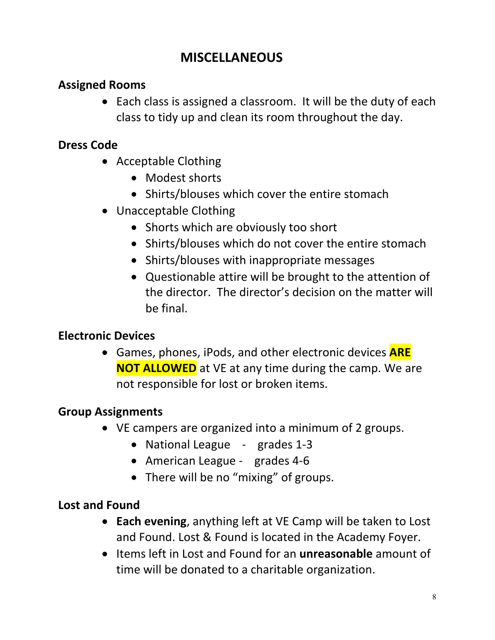# **MISCELLANEOUS**

#### **Assigned Rooms**

• Each class is assigned a classroom. It will be the duty of each class to tidy up and clean its room throughout the day.

#### **Dress Code**

- Acceptable Clothing
	- Modest shorts
	- Shirts/blouses which cover the entire stomach
- Unacceptable Clothing
	- Shorts which are obviously too short
	- Shirts/blouses which do not cover the entire stomach
	- Shirts/blouses with inappropriate messages
	- Questionable attire will be brought to the attention of the director. The director's decision on the matter will be final.

#### **Electronic Devices**

• Games, phones, iPods, and other electronic devices **ARE NOT ALLOWED** at VE at any time during the camp. We are not responsible for lost or broken items.

#### **Group Assignments**

- VE campers are organized into a minimum of 2 groups.
	- National League grades 1-3
	- American League grades 4-6
	- There will be no "mixing" of groups.

#### **Lost and Found**

- **Each evening**, anything left at VE Camp will be taken to Lost and Found. Lost & Found is located in the Academy Foyer.
- Items left in Lost and Found for an **unreasonable** amount of time will be donated to a charitable organization.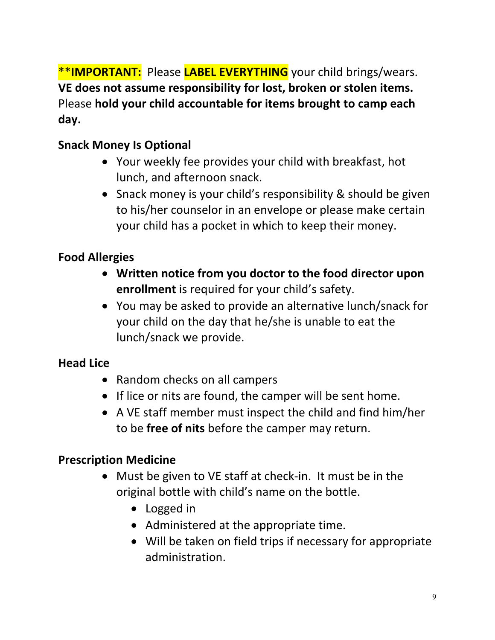\*\***IMPORTANT:** Please **LABEL EVERYTHING** your child brings/wears. **VE does not assume responsibility for lost, broken or stolen items.**  Please **hold your child accountable for items brought to camp each day.**

#### **Snack Money Is Optional**

- Your weekly fee provides your child with breakfast, hot lunch, and afternoon snack.
- Snack money is your child's responsibility & should be given to his/her counselor in an envelope or please make certain your child has a pocket in which to keep their money.

#### **Food Allergies**

- **Written notice from you doctor to the food director upon enrollment** is required for your child's safety.
- You may be asked to provide an alternative lunch/snack for your child on the day that he/she is unable to eat the lunch/snack we provide.

#### **Head Lice**

- Random checks on all campers
- If lice or nits are found, the camper will be sent home.
- A VE staff member must inspect the child and find him/her to be **free of nits** before the camper may return.

#### **Prescription Medicine**

- Must be given to VE staff at check-in. It must be in the original bottle with child's name on the bottle.
	- Logged in
	- Administered at the appropriate time.
	- Will be taken on field trips if necessary for appropriate administration.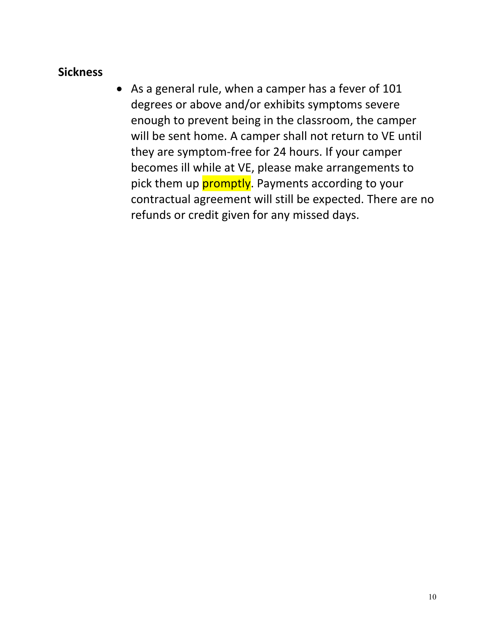#### **Sickness**

• As a general rule, when a camper has a fever of 101 degrees or above and/or exhibits symptoms severe enough to prevent being in the classroom, the camper will be sent home. A camper shall not return to VE until they are symptom-free for 24 hours. If your camper becomes ill while at VE, please make arrangements to pick them up **promptly**. Payments according to your contractual agreement will still be expected. There are no refunds or credit given for any missed days.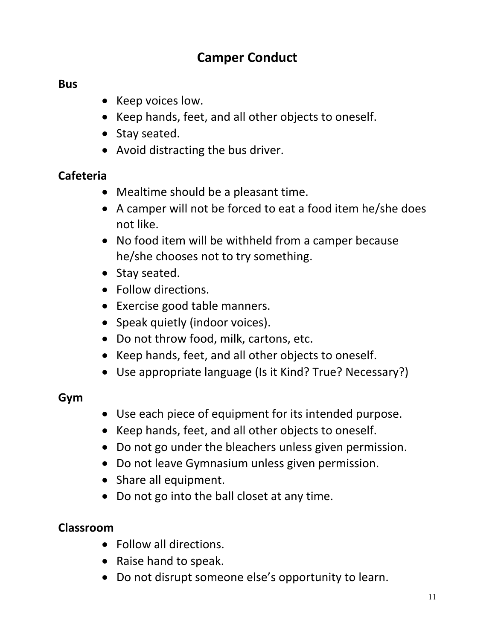## **Camper Conduct**

#### **Bus**

- Keep voices low.
- Keep hands, feet, and all other objects to oneself.
- Stay seated.
- Avoid distracting the bus driver.

#### **Cafeteria**

- Mealtime should be a pleasant time.
- A camper will not be forced to eat a food item he/she does not like.
- No food item will be withheld from a camper because he/she chooses not to try something.
- Stay seated.
- Follow directions.
- Exercise good table manners.
- Speak quietly (indoor voices).
- Do not throw food, milk, cartons, etc.
- Keep hands, feet, and all other objects to oneself.
- Use appropriate language (Is it Kind? True? Necessary?)

#### **Gym**

- Use each piece of equipment for its intended purpose.
- Keep hands, feet, and all other objects to oneself.
- Do not go under the bleachers unless given permission.
- Do not leave Gymnasium unless given permission.
- Share all equipment.
- Do not go into the ball closet at any time.

#### **Classroom**

- Follow all directions.
- Raise hand to speak.
- Do not disrupt someone else's opportunity to learn.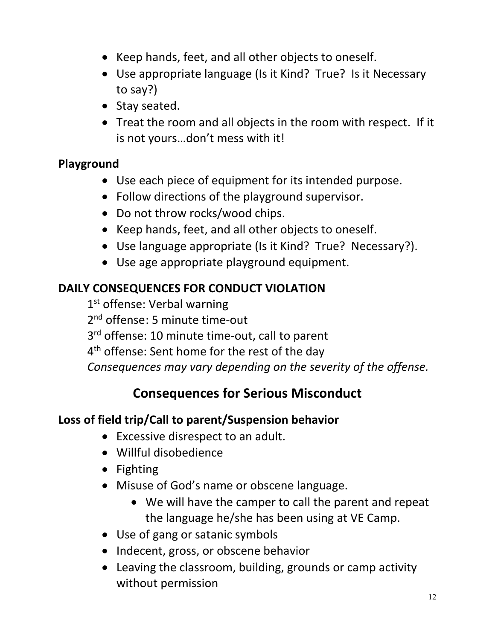- Keep hands, feet, and all other objects to oneself.
- Use appropriate language (Is it Kind? True? Is it Necessary to say?)
- Stay seated.
- Treat the room and all objects in the room with respect. If it is not yours…don't mess with it!

#### **Playground**

- Use each piece of equipment for its intended purpose.
- Follow directions of the playground supervisor.
- Do not throw rocks/wood chips.
- Keep hands, feet, and all other objects to oneself.
- Use language appropriate (Is it Kind? True? Necessary?).
- Use age appropriate playground equipment.

#### **DAILY CONSEQUENCES FOR CONDUCT VIOLATION**

1<sup>st</sup> offense: Verbal warning 2<sup>nd</sup> offense: 5 minute time-out 3<sup>rd</sup> offense: 10 minute time-out, call to parent 4<sup>th</sup> offense: Sent home for the rest of the day *Consequences may vary depending on the severity of the offense.*

# **Consequences for Serious Misconduct**

#### **Loss of field trip/Call to parent/Suspension behavior**

- Excessive disrespect to an adult.
- Willful disobedience
- Fighting
- Misuse of God's name or obscene language.
	- We will have the camper to call the parent and repeat the language he/she has been using at VE Camp.
- Use of gang or satanic symbols
- Indecent, gross, or obscene behavior
- Leaving the classroom, building, grounds or camp activity without permission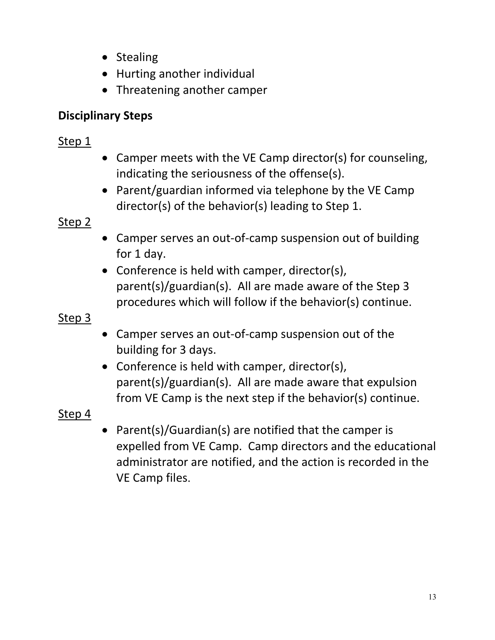- Stealing
- Hurting another individual
- Threatening another camper

#### **Disciplinary Steps**

#### Step 1

- Camper meets with the VE Camp director(s) for counseling, indicating the seriousness of the offense(s).
- Parent/guardian informed via telephone by the VE Camp director(s) of the behavior(s) leading to Step 1.

#### Step 2

- Camper serves an out-of-camp suspension out of building for 1 day.
- Conference is held with camper, director(s), parent(s)/guardian(s). All are made aware of the Step 3 procedures which will follow if the behavior(s) continue.

#### Step 3

- Camper serves an out-of-camp suspension out of the building for 3 days.
- Conference is held with camper, director(s), parent(s)/guardian(s). All are made aware that expulsion from VE Camp is the next step if the behavior(s) continue.

#### Step 4

• Parent(s)/Guardian(s) are notified that the camper is expelled from VE Camp. Camp directors and the educational administrator are notified, and the action is recorded in the VE Camp files.